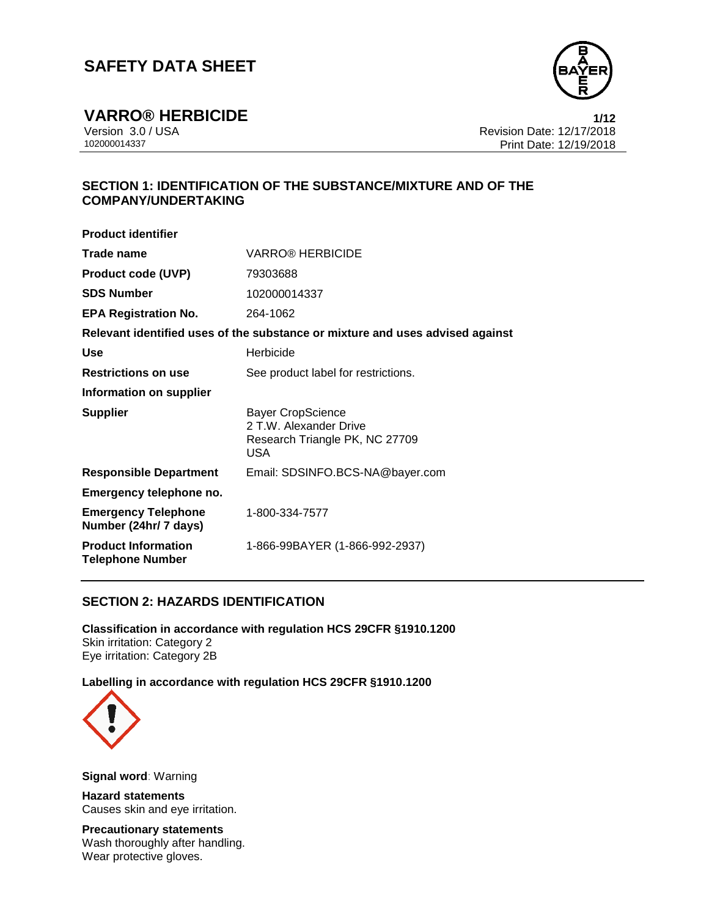

**VARRO® HERBICIDE 1/12** Version 3.0 / USA Revision Date: 12/17/2018 Print Date: 12/19/2018

## **SECTION 1: IDENTIFICATION OF THE SUBSTANCE/MIXTURE AND OF THE COMPANY/UNDERTAKING**

| <b>Product identifier</b>                             |                                                                                             |  |
|-------------------------------------------------------|---------------------------------------------------------------------------------------------|--|
| Trade name                                            | <b>VARRO® HERBICIDE</b>                                                                     |  |
| <b>Product code (UVP)</b>                             | 79303688                                                                                    |  |
| <b>SDS Number</b>                                     | 102000014337                                                                                |  |
| <b>EPA Registration No.</b>                           | 264-1062                                                                                    |  |
|                                                       | Relevant identified uses of the substance or mixture and uses advised against               |  |
| Use                                                   | Herbicide                                                                                   |  |
| <b>Restrictions on use</b>                            | See product label for restrictions.                                                         |  |
| Information on supplier                               |                                                                                             |  |
| <b>Supplier</b>                                       | <b>Bayer CropScience</b><br>2 T.W. Alexander Drive<br>Research Triangle PK, NC 27709<br>USA |  |
| <b>Responsible Department</b>                         | Email: SDSINFO.BCS-NA@bayer.com                                                             |  |
| Emergency telephone no.                               |                                                                                             |  |
| <b>Emergency Telephone</b><br>Number (24hr/ 7 days)   | 1-800-334-7577                                                                              |  |
| <b>Product Information</b><br><b>Telephone Number</b> | 1-866-99BAYER (1-866-992-2937)                                                              |  |

## **SECTION 2: HAZARDS IDENTIFICATION**

**Classification in accordance with regulation HCS 29CFR §1910.1200** Skin irritation: Category 2 Eye irritation: Category 2B

**Labelling in accordance with regulation HCS 29CFR §1910.1200**



**Signal word**: Warning

**Hazard statements** Causes skin and eye irritation.

**Precautionary statements** Wash thoroughly after handling. Wear protective gloves.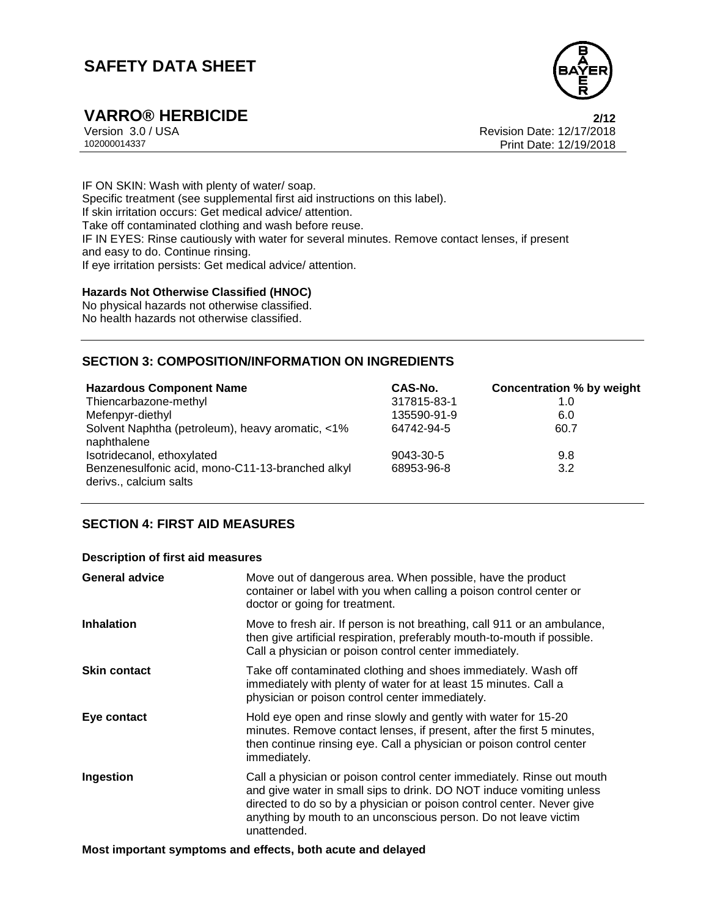

**VARRO® HERBICIDE 2/12** Version 3.0 / USA Revision Date: 12/17/2018 Print Date: 12/19/2018

IF ON SKIN: Wash with plenty of water/ soap. Specific treatment (see supplemental first aid instructions on this label). If skin irritation occurs: Get medical advice/ attention. Take off contaminated clothing and wash before reuse. IF IN EYES: Rinse cautiously with water for several minutes. Remove contact lenses, if present and easy to do. Continue rinsing. If eye irritation persists: Get medical advice/ attention.

### **Hazards Not Otherwise Classified (HNOC)**

No physical hazards not otherwise classified. No health hazards not otherwise classified.

## **SECTION 3: COMPOSITION/INFORMATION ON INGREDIENTS**

| <b>Hazardous Component Name</b>                                            | CAS-No.     | <b>Concentration % by weight</b> |
|----------------------------------------------------------------------------|-------------|----------------------------------|
| Thiencarbazone-methyl                                                      | 317815-83-1 | 1.0                              |
| Mefenpyr-diethyl                                                           | 135590-91-9 | 6.0                              |
| Solvent Naphtha (petroleum), heavy aromatic, <1%<br>naphthalene            | 64742-94-5  | 60.7                             |
| Isotridecanol, ethoxylated                                                 | 9043-30-5   | 9.8                              |
| Benzenesulfonic acid, mono-C11-13-branched alkyl<br>derivs., calcium salts | 68953-96-8  | 3.2                              |

## **SECTION 4: FIRST AID MEASURES**

#### **Description of first aid measures**

| <b>General advice</b> | Move out of dangerous area. When possible, have the product<br>container or label with you when calling a poison control center or<br>doctor or going for treatment.                                                                                                                                      |
|-----------------------|-----------------------------------------------------------------------------------------------------------------------------------------------------------------------------------------------------------------------------------------------------------------------------------------------------------|
| <b>Inhalation</b>     | Move to fresh air. If person is not breathing, call 911 or an ambulance,<br>then give artificial respiration, preferably mouth-to-mouth if possible.<br>Call a physician or poison control center immediately.                                                                                            |
| <b>Skin contact</b>   | Take off contaminated clothing and shoes immediately. Wash off<br>immediately with plenty of water for at least 15 minutes. Call a<br>physician or poison control center immediately.                                                                                                                     |
| Eye contact           | Hold eye open and rinse slowly and gently with water for 15-20<br>minutes. Remove contact lenses, if present, after the first 5 minutes,<br>then continue rinsing eye. Call a physician or poison control center<br>immediately.                                                                          |
| Ingestion             | Call a physician or poison control center immediately. Rinse out mouth<br>and give water in small sips to drink. DO NOT induce vomiting unless<br>directed to do so by a physician or poison control center. Never give<br>anything by mouth to an unconscious person. Do not leave victim<br>unattended. |

**Most important symptoms and effects, both acute and delayed**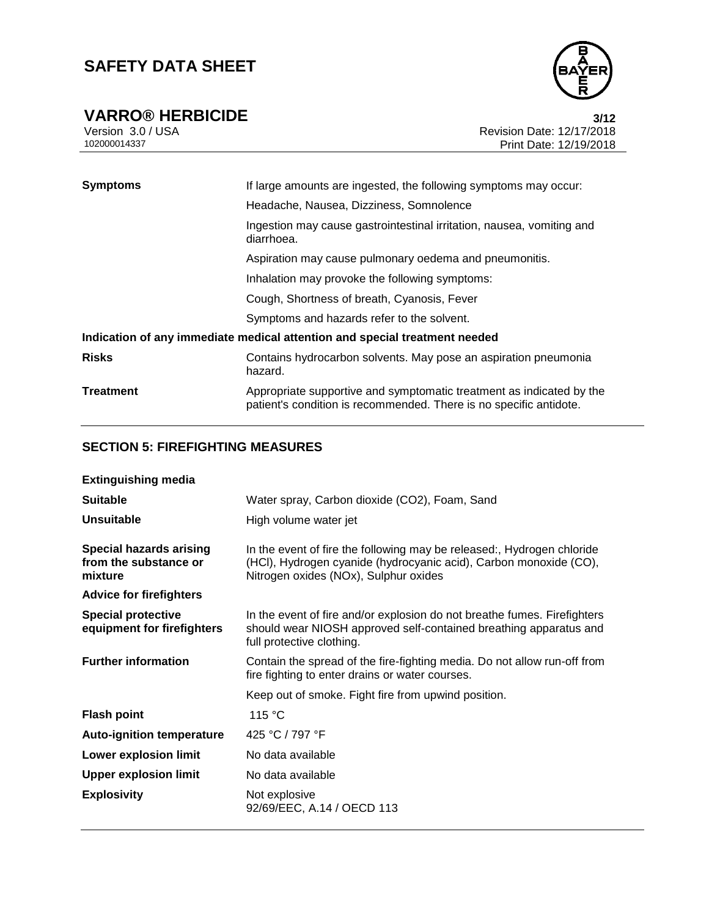

**VARRO® HERBICIDE** 3/12<br>Version 3.0 / USA **12**<br>Revision Date: 12/17/2018 Version 3.0 / USA Revision Date: 12/17/2018<br>102000014337<br>Print Date: 12/19/2018 Print Date: 12/19/2018

| <b>Symptoms</b> | If large amounts are ingested, the following symptoms may occur:                                                                           |  |
|-----------------|--------------------------------------------------------------------------------------------------------------------------------------------|--|
|                 | Headache, Nausea, Dizziness, Somnolence                                                                                                    |  |
|                 | Ingestion may cause gastrointestinal irritation, nausea, vomiting and<br>diarrhoea.                                                        |  |
|                 | Aspiration may cause pulmonary oedema and pneumonitis.                                                                                     |  |
|                 | Inhalation may provoke the following symptoms:                                                                                             |  |
|                 | Cough, Shortness of breath, Cyanosis, Fever                                                                                                |  |
|                 | Symptoms and hazards refer to the solvent.                                                                                                 |  |
|                 | Indication of any immediate medical attention and special treatment needed                                                                 |  |
| <b>Risks</b>    | Contains hydrocarbon solvents. May pose an aspiration pneumonia<br>hazard.                                                                 |  |
| Treatment       | Appropriate supportive and symptomatic treatment as indicated by the<br>patient's condition is recommended. There is no specific antidote. |  |

# **SECTION 5: FIREFIGHTING MEASURES**

| <b>Extinguishing media</b>                                         |                                                                                                                                                                                      |  |
|--------------------------------------------------------------------|--------------------------------------------------------------------------------------------------------------------------------------------------------------------------------------|--|
| <b>Suitable</b>                                                    | Water spray, Carbon dioxide (CO2), Foam, Sand                                                                                                                                        |  |
| <b>Unsuitable</b>                                                  | High volume water jet                                                                                                                                                                |  |
| <b>Special hazards arising</b><br>from the substance or<br>mixture | In the event of fire the following may be released:, Hydrogen chloride<br>(HCI), Hydrogen cyanide (hydrocyanic acid), Carbon monoxide (CO),<br>Nitrogen oxides (NOx), Sulphur oxides |  |
| <b>Advice for firefighters</b>                                     |                                                                                                                                                                                      |  |
| <b>Special protective</b><br>equipment for firefighters            | In the event of fire and/or explosion do not breathe fumes. Firefighters<br>should wear NIOSH approved self-contained breathing apparatus and<br>full protective clothing.           |  |
| <b>Further information</b>                                         | Contain the spread of the fire-fighting media. Do not allow run-off from<br>fire fighting to enter drains or water courses.                                                          |  |
|                                                                    | Keep out of smoke. Fight fire from upwind position.                                                                                                                                  |  |
| <b>Flash point</b>                                                 | 115 °C                                                                                                                                                                               |  |
| <b>Auto-ignition temperature</b>                                   | 425 °C / 797 °F                                                                                                                                                                      |  |
| Lower explosion limit                                              | No data available                                                                                                                                                                    |  |
| <b>Upper explosion limit</b>                                       | No data available                                                                                                                                                                    |  |
| <b>Explosivity</b>                                                 | Not explosive<br>92/69/EEC, A.14 / OECD 113                                                                                                                                          |  |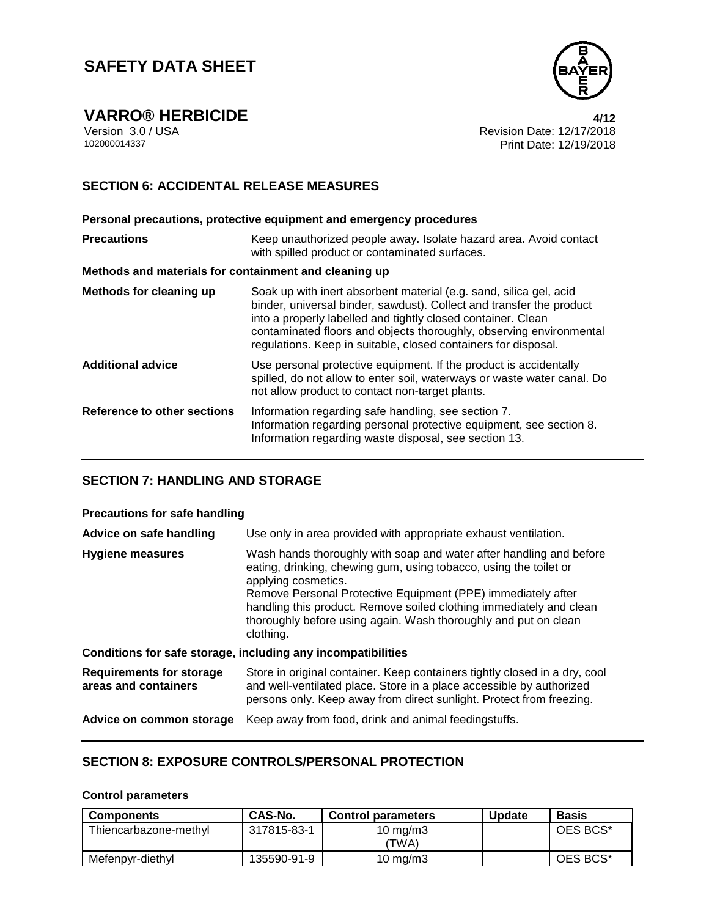

**VARRO® HERBICIDE 4/12**

Version 3.0 / USA Revision Date: 12/17/2018 Print Date: 12/19/2018

## **SECTION 6: ACCIDENTAL RELEASE MEASURES**

**Personal precautions, protective equipment and emergency procedures Precautions Keep unauthorized people away. Isolate hazard area. Avoid contact** with spilled product or contaminated surfaces. **Methods and materials for containment and cleaning up Methods for cleaning up** Soak up with inert absorbent material (e.g. sand, silica gel, acid binder, universal binder, sawdust). Collect and transfer the product into a properly labelled and tightly closed container. Clean contaminated floors and objects thoroughly, observing environmental regulations. Keep in suitable, closed containers for disposal. **Additional advice** Use personal protective equipment. If the product is accidentally spilled, do not allow to enter soil, waterways or waste water canal. Do not allow product to contact non-target plants. **Reference to other sections** Information regarding safe handling, see section 7. Information regarding personal protective equipment, see section 8. Information regarding waste disposal, see section 13.

## **SECTION 7: HANDLING AND STORAGE**

#### **Precautions for safe handling**

| Advice on safe handling                                 | Use only in area provided with appropriate exhaust ventilation.                                                                                                                                                                                                                                                                                                                        |
|---------------------------------------------------------|----------------------------------------------------------------------------------------------------------------------------------------------------------------------------------------------------------------------------------------------------------------------------------------------------------------------------------------------------------------------------------------|
| <b>Hygiene measures</b>                                 | Wash hands thoroughly with soap and water after handling and before<br>eating, drinking, chewing gum, using tobacco, using the toilet or<br>applying cosmetics.<br>Remove Personal Protective Equipment (PPE) immediately after<br>handling this product. Remove soiled clothing immediately and clean<br>thoroughly before using again. Wash thoroughly and put on clean<br>clothing. |
|                                                         | Conditions for safe storage, including any incompatibilities                                                                                                                                                                                                                                                                                                                           |
| <b>Requirements for storage</b><br>areas and containers | Store in original container. Keep containers tightly closed in a dry, cool<br>and well-ventilated place. Store in a place accessible by authorized<br>persons only. Keep away from direct sunlight. Protect from freezing.                                                                                                                                                             |
| Advice on common storage                                | Keep away from food, drink and animal feedingstuffs.                                                                                                                                                                                                                                                                                                                                   |

### **SECTION 8: EXPOSURE CONTROLS/PERSONAL PROTECTION**

#### **Control parameters**

| <b>Components</b>     | CAS-No.     | <b>Control parameters</b> | <b>Update</b> | Basis    |
|-----------------------|-------------|---------------------------|---------------|----------|
| Thiencarbazone-methyl | 317815-83-1 | 10 mg/m $3$<br>'TWA)      |               | OES BCS* |
| Mefenpyr-diethyl      | 135590-91-9 | 10 mg/m $3$               |               | OES BCS* |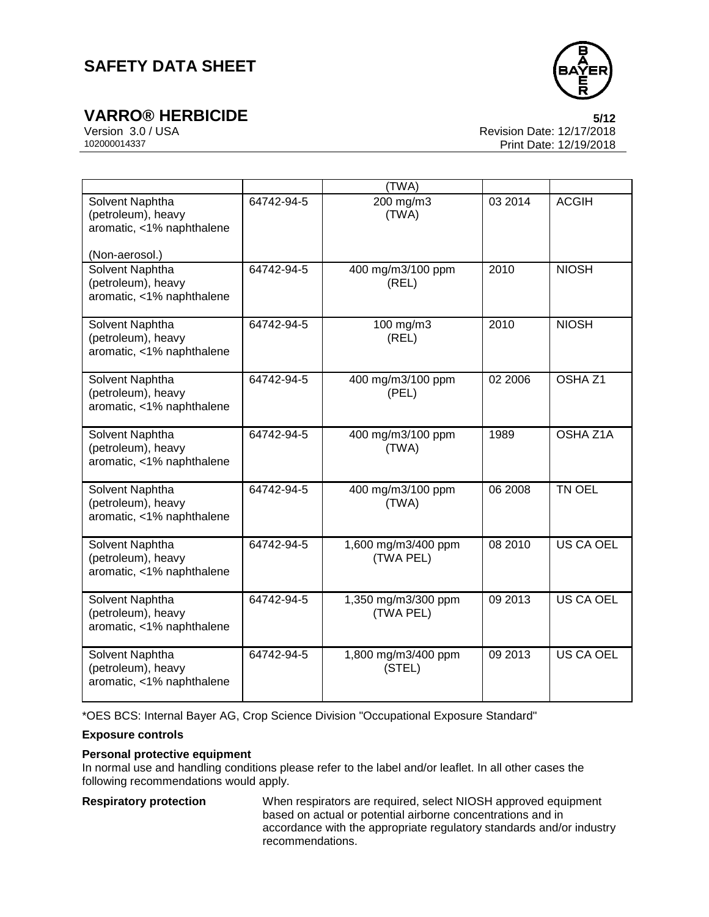



**VARRO® HERBICIDE 5/12** Version 3.0 / USA Revision Date: 12/17/2018 Print Date: 12/19/2018

|                                                                                      |            | (TWA)                            |         |                    |
|--------------------------------------------------------------------------------------|------------|----------------------------------|---------|--------------------|
| Solvent Naphtha<br>(petroleum), heavy<br>aromatic, <1% naphthalene<br>(Non-aerosol.) | 64742-94-5 | 200 mg/m3<br>(TWA)               | 03 2014 | <b>ACGIH</b>       |
| Solvent Naphtha<br>(petroleum), heavy<br>aromatic, <1% naphthalene                   | 64742-94-5 | 400 mg/m3/100 ppm<br>(REL)       | 2010    | <b>NIOSH</b>       |
| Solvent Naphtha<br>(petroleum), heavy<br>aromatic, <1% naphthalene                   | 64742-94-5 | 100 mg/m3<br>(REL)               | 2010    | <b>NIOSH</b>       |
| Solvent Naphtha<br>(petroleum), heavy<br>aromatic, <1% naphthalene                   | 64742-94-5 | 400 mg/m3/100 ppm<br>(PEL)       | 02 2006 | OSHA <sub>Z1</sub> |
| Solvent Naphtha<br>(petroleum), heavy<br>aromatic, <1% naphthalene                   | 64742-94-5 | 400 mg/m3/100 ppm<br>(TWA)       | 1989    | OSHA Z1A           |
| Solvent Naphtha<br>(petroleum), heavy<br>aromatic, <1% naphthalene                   | 64742-94-5 | 400 mg/m3/100 ppm<br>(TWA)       | 06 2008 | TN OEL             |
| Solvent Naphtha<br>(petroleum), heavy<br>aromatic, <1% naphthalene                   | 64742-94-5 | 1,600 mg/m3/400 ppm<br>(TWA PEL) | 08 2010 | <b>US CA OEL</b>   |
| Solvent Naphtha<br>(petroleum), heavy<br>aromatic, <1% naphthalene                   | 64742-94-5 | 1,350 mg/m3/300 ppm<br>(TWA PEL) | 09 2013 | <b>US CA OEL</b>   |
| Solvent Naphtha<br>(petroleum), heavy<br>aromatic, <1% naphthalene                   | 64742-94-5 | 1,800 mg/m3/400 ppm<br>(STEL)    | 09 2013 | <b>US CA OEL</b>   |

\*OES BCS: Internal Bayer AG, Crop Science Division "Occupational Exposure Standard"

## **Exposure controls**

### **Personal protective equipment**

In normal use and handling conditions please refer to the label and/or leaflet. In all other cases the following recommendations would apply.

**Respiratory protection** When respirators are required, select NIOSH approved equipment based on actual or potential airborne concentrations and in accordance with the appropriate regulatory standards and/or industry recommendations.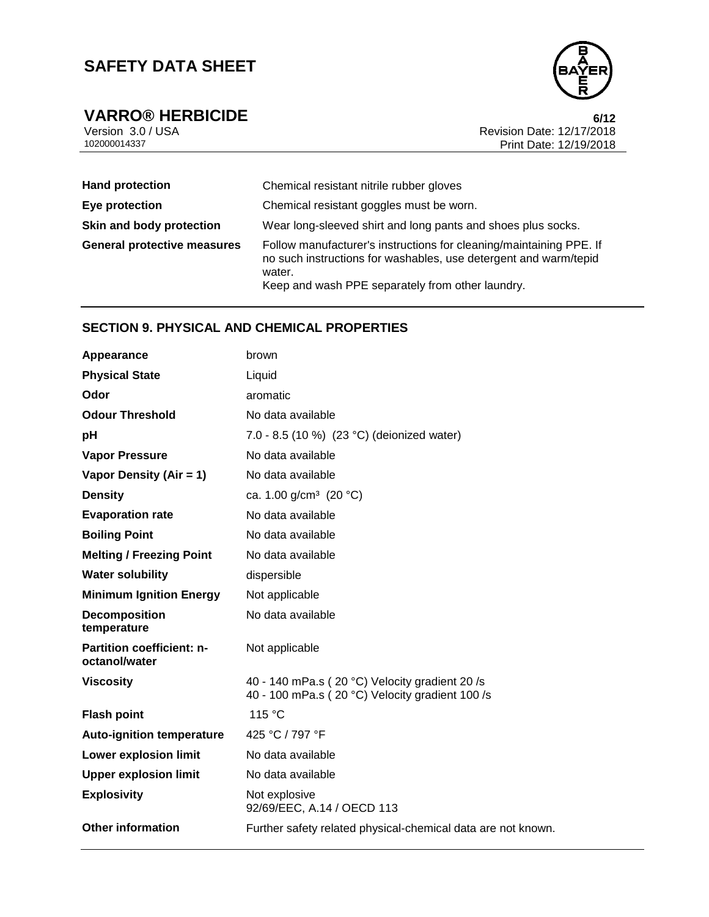

**VARRO® HERBICIDE 6/12** Version 3.0 / USA Revision Date: 12/17/2018<br>102000014337<br>Print Date: 12/19/2018 Print Date: 12/19/2018

| <b>Hand protection</b>             | Chemical resistant nitrile rubber gloves                                                                                                                                                              |
|------------------------------------|-------------------------------------------------------------------------------------------------------------------------------------------------------------------------------------------------------|
| Eye protection                     | Chemical resistant goggles must be worn.                                                                                                                                                              |
| Skin and body protection           | Wear long-sleeved shirt and long pants and shoes plus socks.                                                                                                                                          |
| <b>General protective measures</b> | Follow manufacturer's instructions for cleaning/maintaining PPE. If<br>no such instructions for washables, use detergent and warm/tepid<br>water.<br>Keep and wash PPE separately from other laundry. |

## **SECTION 9. PHYSICAL AND CHEMICAL PROPERTIES**

| brown                                                                                            |
|--------------------------------------------------------------------------------------------------|
| Liquid                                                                                           |
| aromatic                                                                                         |
| No data available                                                                                |
| 7.0 - 8.5 (10 %) (23 °C) (deionized water)                                                       |
| No data available                                                                                |
| No data available                                                                                |
| ca. 1.00 g/cm <sup>3</sup> (20 °C)                                                               |
| No data available                                                                                |
| No data available                                                                                |
| No data available                                                                                |
| dispersible                                                                                      |
| Not applicable                                                                                   |
| No data available                                                                                |
| Not applicable                                                                                   |
| 40 - 140 mPa.s (20 °C) Velocity gradient 20/s<br>40 - 100 mPa.s (20 °C) Velocity gradient 100 /s |
| 115 °C                                                                                           |
| 425 °C / 797 °F                                                                                  |
| No data available                                                                                |
| No data available                                                                                |
| Not explosive<br>92/69/EEC, A.14 / OECD 113                                                      |
| Further safety related physical-chemical data are not known.                                     |
|                                                                                                  |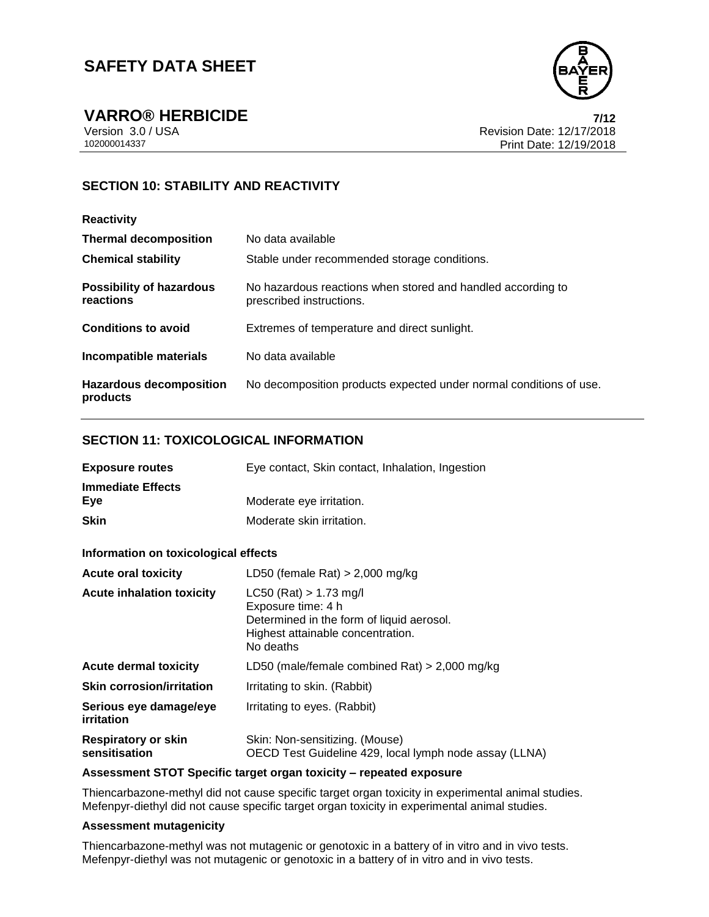

**VARRO® HERBICIDE 7/12** Version 3.0 / USA Revision Date: 12/17/2018 Print Date: 12/19/2018

# **SECTION 10: STABILITY AND REACTIVITY**

| <b>Reactivity</b>                            |                                                                                         |
|----------------------------------------------|-----------------------------------------------------------------------------------------|
| <b>Thermal decomposition</b>                 | No data available                                                                       |
| <b>Chemical stability</b>                    | Stable under recommended storage conditions.                                            |
| <b>Possibility of hazardous</b><br>reactions | No hazardous reactions when stored and handled according to<br>prescribed instructions. |
| <b>Conditions to avoid</b>                   | Extremes of temperature and direct sunlight.                                            |
| Incompatible materials                       | No data available                                                                       |
| <b>Hazardous decomposition</b><br>products   | No decomposition products expected under normal conditions of use.                      |

## **SECTION 11: TOXICOLOGICAL INFORMATION**

| <b>Exposure routes</b>          | Eye contact, Skin contact, Inhalation, Ingestion |
|---------------------------------|--------------------------------------------------|
| <b>Immediate Effects</b><br>Eve | Moderate eye irritation.                         |
| <b>Skin</b>                     | Moderate skin irritation.                        |

### **Information on toxicological effects**

| <b>Acute oral toxicity</b>                  | LD50 (female Rat) $> 2,000$ mg/kg                                                                                                             |
|---------------------------------------------|-----------------------------------------------------------------------------------------------------------------------------------------------|
| <b>Acute inhalation toxicity</b>            | $LC50$ (Rat) > 1.73 mg/l<br>Exposure time: 4 h<br>Determined in the form of liquid aerosol.<br>Highest attainable concentration.<br>No deaths |
| <b>Acute dermal toxicity</b>                | LD50 (male/female combined Rat) $> 2,000$ mg/kg                                                                                               |
| <b>Skin corrosion/irritation</b>            | Irritating to skin. (Rabbit)                                                                                                                  |
| Serious eye damage/eye<br>irritation        | Irritating to eyes. (Rabbit)                                                                                                                  |
| <b>Respiratory or skin</b><br>sensitisation | Skin: Non-sensitizing. (Mouse)<br>OECD Test Guideline 429, local lymph node assay (LLNA)                                                      |

#### **Assessment STOT Specific target organ toxicity – repeated exposure**

Thiencarbazone-methyl did not cause specific target organ toxicity in experimental animal studies. Mefenpyr-diethyl did not cause specific target organ toxicity in experimental animal studies.

#### **Assessment mutagenicity**

Thiencarbazone-methyl was not mutagenic or genotoxic in a battery of in vitro and in vivo tests. Mefenpyr-diethyl was not mutagenic or genotoxic in a battery of in vitro and in vivo tests.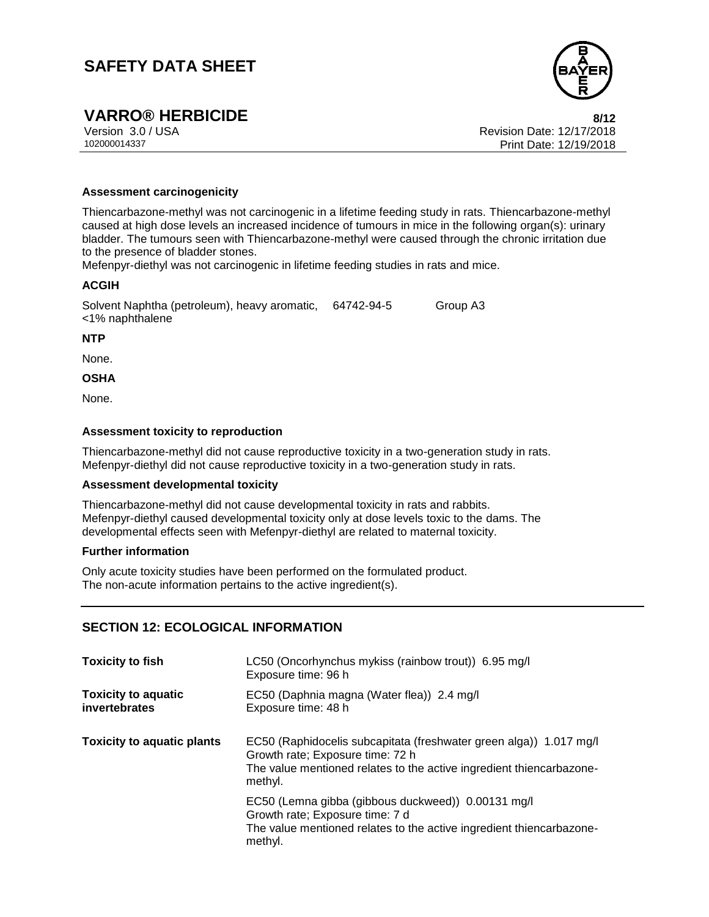

# **VARRO® HERBICIDE 8/12**

Version 3.0 / USA Revision Date: 12/17/2018 102000014337 Print Date: 12/19/2018

#### **Assessment carcinogenicity**

Thiencarbazone-methyl was not carcinogenic in a lifetime feeding study in rats. Thiencarbazone-methyl caused at high dose levels an increased incidence of tumours in mice in the following organ(s): urinary bladder. The tumours seen with Thiencarbazone-methyl were caused through the chronic irritation due to the presence of bladder stones.

Mefenpyr-diethyl was not carcinogenic in lifetime feeding studies in rats and mice.

### **ACGIH**

Solvent Naphtha (petroleum), heavy aromatic, 64742-94-5 Group A3 <1% naphthalene

**NTP**

None.

**OSHA**

None.

### **Assessment toxicity to reproduction**

Thiencarbazone-methyl did not cause reproductive toxicity in a two-generation study in rats. Mefenpyr-diethyl did not cause reproductive toxicity in a two-generation study in rats.

#### **Assessment developmental toxicity**

Thiencarbazone-methyl did not cause developmental toxicity in rats and rabbits. Mefenpyr-diethyl caused developmental toxicity only at dose levels toxic to the dams. The developmental effects seen with Mefenpyr-diethyl are related to maternal toxicity.

#### **Further information**

Only acute toxicity studies have been performed on the formulated product. The non-acute information pertains to the active ingredient(s).

## **SECTION 12: ECOLOGICAL INFORMATION**

| <b>Toxicity to fish</b>                     | LC50 (Oncorhynchus mykiss (rainbow trout)) 6.95 mg/l<br>Exposure time: 96 h                                                                                                               |
|---------------------------------------------|-------------------------------------------------------------------------------------------------------------------------------------------------------------------------------------------|
| <b>Toxicity to aquatic</b><br>invertebrates | EC50 (Daphnia magna (Water flea)) 2.4 mg/l<br>Exposure time: 48 h                                                                                                                         |
| <b>Toxicity to aquatic plants</b>           | EC50 (Raphidocelis subcapitata (freshwater green alga)) 1.017 mg/l<br>Growth rate; Exposure time: 72 h<br>The value mentioned relates to the active ingredient thiencarbazone-<br>methyl. |
|                                             | EC50 (Lemna gibba (gibbous duckweed)) 0.00131 mg/l<br>Growth rate; Exposure time: 7 d<br>The value mentioned relates to the active ingredient thiencarbazone-<br>methyl.                  |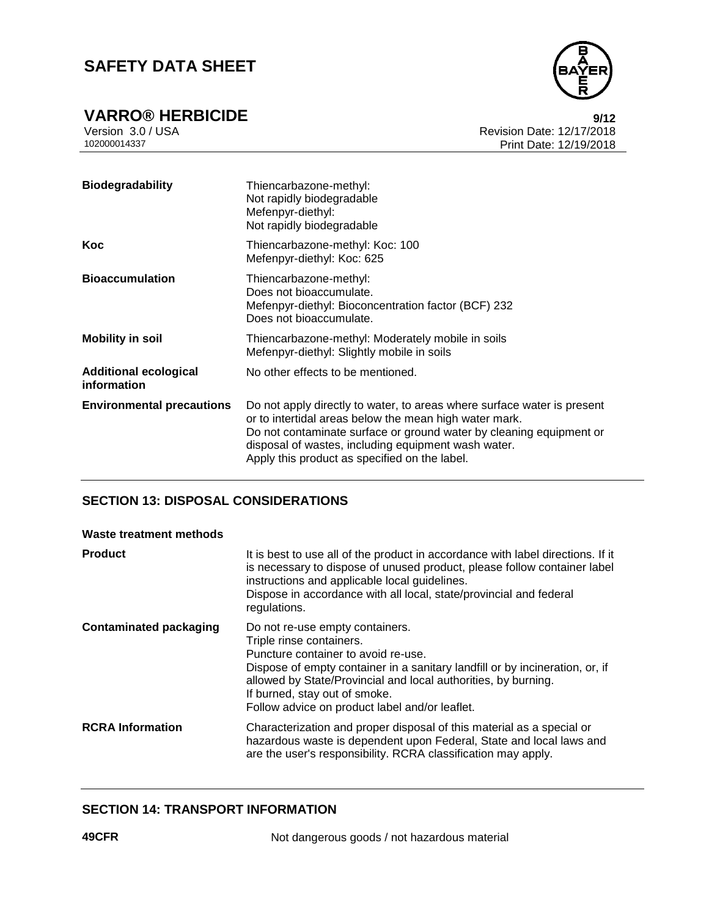

| <b>Biodegradability</b>                     | Thiencarbazone-methyl:<br>Not rapidly biodegradable<br>Mefenpyr-diethyl:<br>Not rapidly biodegradable                                                                                                                                                                                                            |
|---------------------------------------------|------------------------------------------------------------------------------------------------------------------------------------------------------------------------------------------------------------------------------------------------------------------------------------------------------------------|
| Koc                                         | Thiencarbazone-methyl: Koc: 100<br>Mefenpyr-diethyl: Koc: 625                                                                                                                                                                                                                                                    |
| <b>Bioaccumulation</b>                      | Thiencarbazone-methyl:<br>Does not bioaccumulate.<br>Mefenpyr-diethyl: Bioconcentration factor (BCF) 232<br>Does not bioaccumulate.                                                                                                                                                                              |
| <b>Mobility in soil</b>                     | Thiencarbazone-methyl: Moderately mobile in soils<br>Mefenpyr-diethyl: Slightly mobile in soils                                                                                                                                                                                                                  |
| <b>Additional ecological</b><br>information | No other effects to be mentioned.                                                                                                                                                                                                                                                                                |
| <b>Environmental precautions</b>            | Do not apply directly to water, to areas where surface water is present<br>or to intertidal areas below the mean high water mark.<br>Do not contaminate surface or ground water by cleaning equipment or<br>disposal of wastes, including equipment wash water.<br>Apply this product as specified on the label. |

## **SECTION 13: DISPOSAL CONSIDERATIONS**

#### **Waste treatment methods**

| <b>Product</b>                | It is best to use all of the product in accordance with label directions. If it<br>is necessary to dispose of unused product, please follow container label<br>instructions and applicable local guidelines.<br>Dispose in accordance with all local, state/provincial and federal<br>regulations.                                      |
|-------------------------------|-----------------------------------------------------------------------------------------------------------------------------------------------------------------------------------------------------------------------------------------------------------------------------------------------------------------------------------------|
| <b>Contaminated packaging</b> | Do not re-use empty containers.<br>Triple rinse containers.<br>Puncture container to avoid re-use.<br>Dispose of empty container in a sanitary landfill or by incineration, or, if<br>allowed by State/Provincial and local authorities, by burning.<br>If burned, stay out of smoke.<br>Follow advice on product label and/or leaflet. |
| <b>RCRA</b> Information       | Characterization and proper disposal of this material as a special or<br>hazardous waste is dependent upon Federal, State and local laws and<br>are the user's responsibility. RCRA classification may apply.                                                                                                                           |

## **SECTION 14: TRANSPORT INFORMATION**

**49CFR** Not dangerous goods / not hazardous material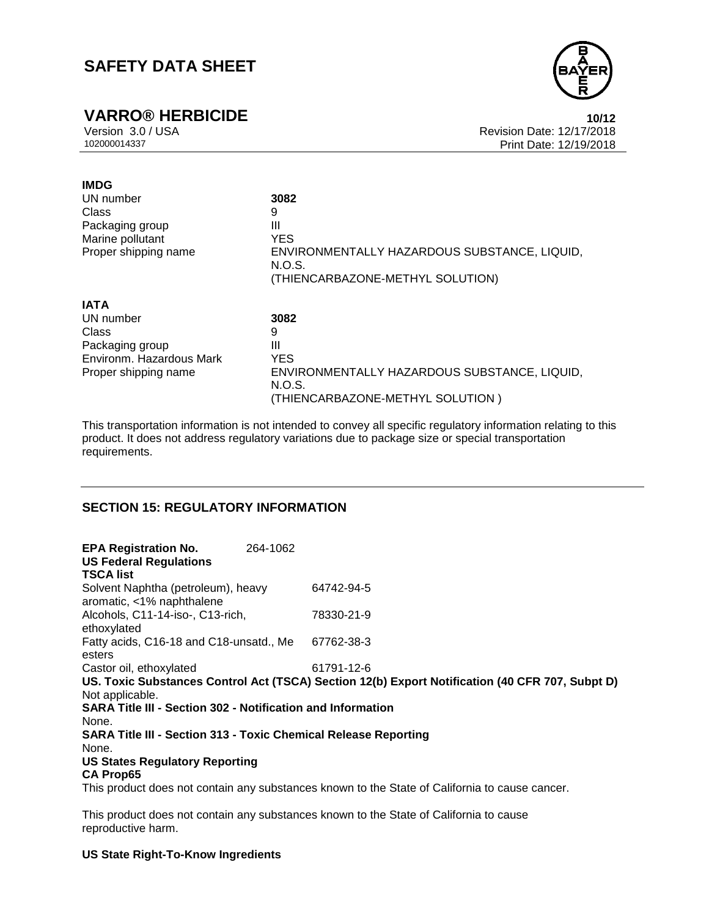

**VARRO® HERBICIDE 10/12** Version 3.0 / USA Revision Date: 12/17/2018 Print Date: 12/19/2018

| <b>IMDG</b>              |                                                        |
|--------------------------|--------------------------------------------------------|
| UN number                | 3082                                                   |
| Class                    | 9                                                      |
| Packaging group          | Ш                                                      |
| Marine pollutant         | <b>YES</b>                                             |
| Proper shipping name     | ENVIRONMENTALLY HAZARDOUS SUBSTANCE, LIQUID,<br>N.O.S. |
|                          | (THIENCARBAZONE-METHYL SOLUTION)                       |
| <b>IATA</b>              |                                                        |
| UN number                | 3082                                                   |
| Class                    | 9                                                      |
| Packaging group          | Ш                                                      |
| Environm. Hazardous Mark | <b>YES</b>                                             |
| Proper shipping name     | ENVIRONMENTALLY HAZARDOUS SUBSTANCE, LIQUID,<br>N.O.S. |
|                          | (THIENCARBAZONE-METHYL SOLUTION)                       |

This transportation information is not intended to convey all specific regulatory information relating to this product. It does not address regulatory variations due to package size or special transportation requirements.

### **SECTION 15: REGULATORY INFORMATION**

| <b>EPA Registration No.</b><br><b>US Federal Regulations</b><br><b>TSCA list</b> | 264-1062 |                                                                                                 |
|----------------------------------------------------------------------------------|----------|-------------------------------------------------------------------------------------------------|
| Solvent Naphtha (petroleum), heavy<br>aromatic, <1% naphthalene                  |          | 64742-94-5                                                                                      |
| Alcohols, C11-14-iso-, C13-rich,<br>ethoxylated                                  |          | 78330-21-9                                                                                      |
| Fatty acids, C16-18 and C18-unsatd., Me<br>esters                                |          | 67762-38-3                                                                                      |
| Castor oil, ethoxylated                                                          |          | 61791-12-6                                                                                      |
| Not applicable.                                                                  |          | US. Toxic Substances Control Act (TSCA) Section 12(b) Export Notification (40 CFR 707, Subpt D) |
| <b>SARA Title III - Section 302 - Notification and Information</b>               |          |                                                                                                 |
| None.                                                                            |          |                                                                                                 |
| <b>SARA Title III - Section 313 - Toxic Chemical Release Reporting</b><br>None.  |          |                                                                                                 |
| <b>US States Regulatory Reporting</b><br><b>CA Prop65</b>                        |          |                                                                                                 |
|                                                                                  |          | This product does not contain any substances known to the State of California to cause cancer.  |
|                                                                                  |          |                                                                                                 |

This product does not contain any substances known to the State of California to cause reproductive harm.

### **US State Right-To-Know Ingredients**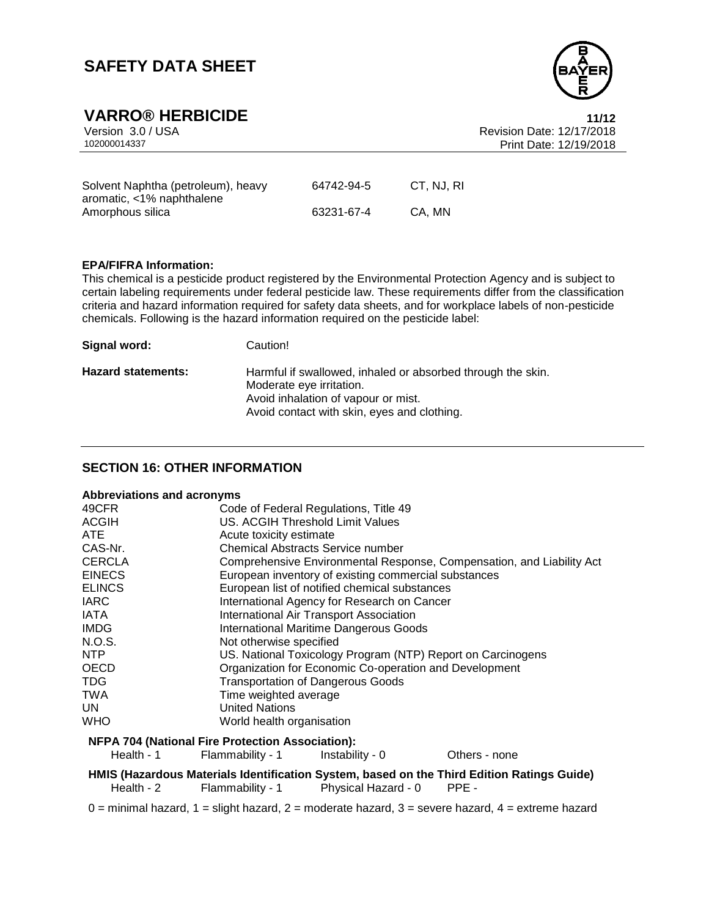

# **VARRO® HERBICIDE 11/12**

| Version 3.0 / USA                  |            |            | <b>Revision Date: 12/17/2018</b> |  |
|------------------------------------|------------|------------|----------------------------------|--|
| 102000014337                       |            |            | Print Date: 12/19/2018           |  |
|                                    |            |            |                                  |  |
|                                    |            |            |                                  |  |
| Solvent Naphtha (petroleum), heavy | 64742-94-5 | CT. NJ. RI |                                  |  |
| aromatic, <1% naphthalene          |            |            |                                  |  |
| Amorphous silica                   | 63231-67-4 | CA. MN     |                                  |  |

#### **EPA/FIFRA Information:**

This chemical is a pesticide product registered by the Environmental Protection Agency and is subject to certain labeling requirements under federal pesticide law. These requirements differ from the classification criteria and hazard information required for safety data sheets, and for workplace labels of non-pesticide chemicals. Following is the hazard information required on the pesticide label:

| Signal word:              | Caution!                                                                                                                       |
|---------------------------|--------------------------------------------------------------------------------------------------------------------------------|
| <b>Hazard statements:</b> | Harmful if swallowed, inhaled or absorbed through the skin.<br>Moderate eye irritation.<br>Avoid inhalation of vapour or mist. |
|                           | Avoid contact with skin, eyes and clothing.                                                                                    |

### **SECTION 16: OTHER INFORMATION**

#### **Abbreviations and acronyms**

| 49CFR                                                   | Code of Federal Regulations, Title 49                                 |  |
|---------------------------------------------------------|-----------------------------------------------------------------------|--|
| <b>ACGIH</b>                                            | US. ACGIH Threshold Limit Values                                      |  |
| <b>ATE</b>                                              | Acute toxicity estimate                                               |  |
| CAS-Nr.                                                 | Chemical Abstracts Service number                                     |  |
| <b>CERCLA</b>                                           | Comprehensive Environmental Response, Compensation, and Liability Act |  |
| <b>EINECS</b>                                           | European inventory of existing commercial substances                  |  |
| <b>ELINCS</b>                                           | European list of notified chemical substances                         |  |
| <b>IARC</b>                                             | International Agency for Research on Cancer                           |  |
| IATA                                                    | International Air Transport Association                               |  |
| <b>IMDG</b>                                             | <b>International Maritime Dangerous Goods</b>                         |  |
| N.O.S.                                                  | Not otherwise specified                                               |  |
| NTP                                                     | US. National Toxicology Program (NTP) Report on Carcinogens           |  |
| <b>OECD</b>                                             | Organization for Economic Co-operation and Development                |  |
| TDG.                                                    | <b>Transportation of Dangerous Goods</b>                              |  |
| <b>TWA</b>                                              | Time weighted average                                                 |  |
| UN.                                                     | <b>United Nations</b>                                                 |  |
| <b>WHO</b>                                              | World health organisation                                             |  |
| <b>NFPA 704 (National Fire Protection Association):</b> |                                                                       |  |

## Health - 1 Flammability - 1 Instability - 0 Others - none **HMIS (Hazardous Materials Identification System, based on the Third Edition Ratings Guide)** Health - 2 Flammability - 1 Physical Hazard - 0 PPE -

 $0 =$  minimal hazard,  $1 =$  slight hazard,  $2 =$  moderate hazard,  $3 =$  severe hazard,  $4 =$  extreme hazard